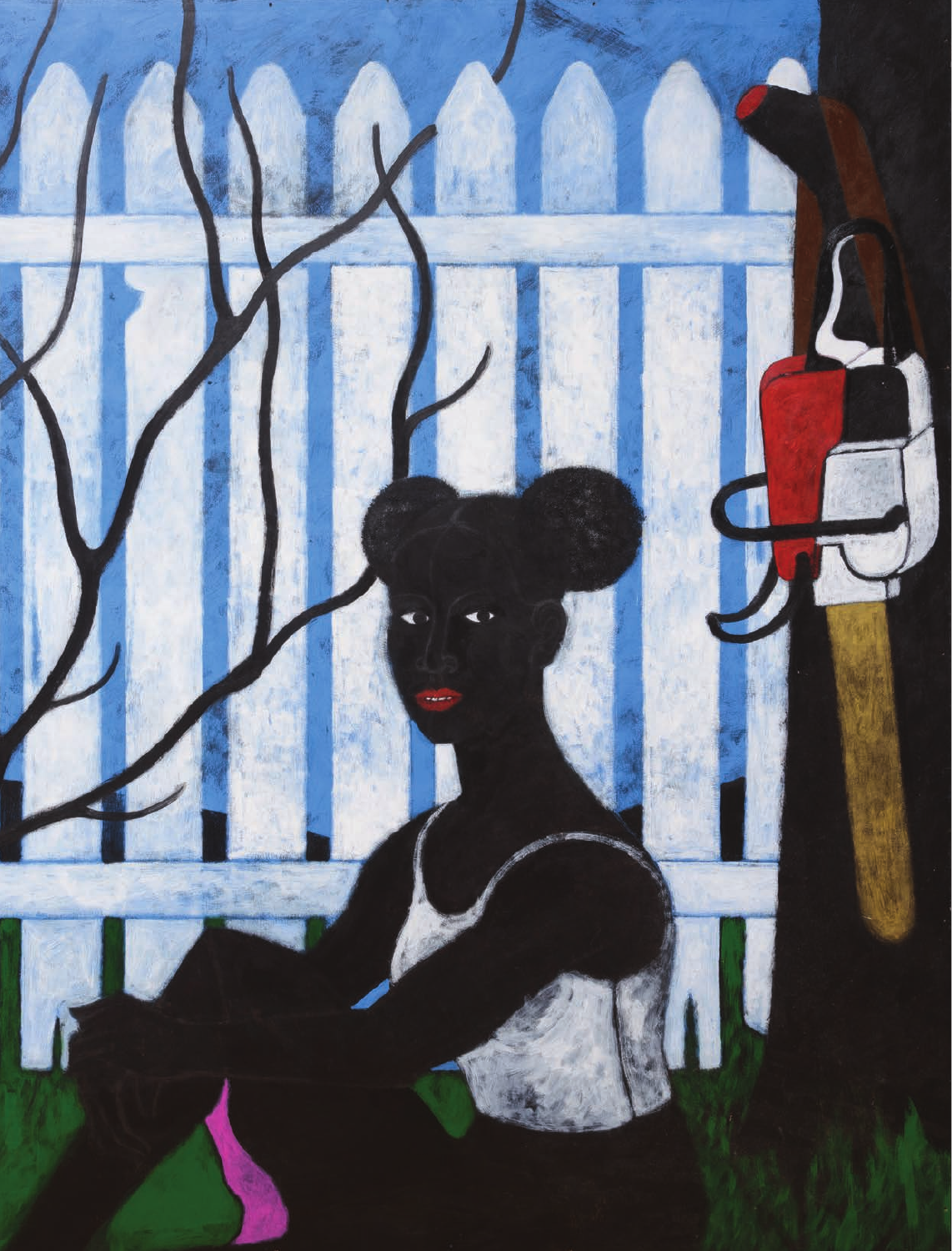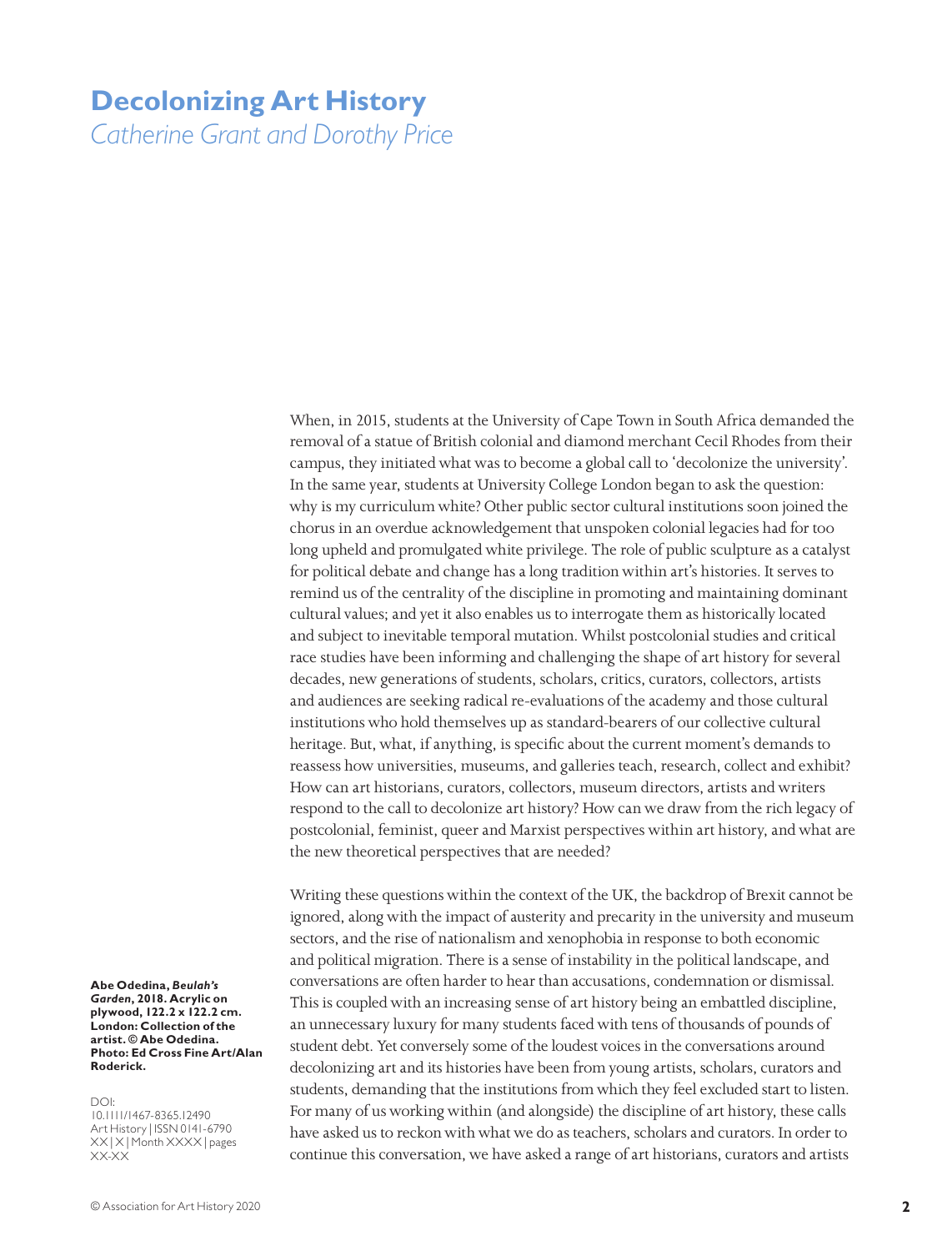# **Decolonizing Art History**

*Catherine Grant and Dorothy Price*

When, in 2015, students at the University of Cape Town in South Africa demanded the removal of a statue of British colonial and diamond merchant Cecil Rhodes from their campus, they initiated what was to become a global call to 'decolonize the university'. In the same year, students at University College London began to ask the question: why is my curriculum white? Other public sector cultural institutions soon joined the chorus in an overdue acknowledgement that unspoken colonial legacies had for too long upheld and promulgated white privilege. The role of public sculpture as a catalyst for political debate and change has a long tradition within art's histories. It serves to remind us of the centrality of the discipline in promoting and maintaining dominant cultural values; and yet it also enables us to interrogate them as historically located and subject to inevitable temporal mutation. Whilst postcolonial studies and critical race studies have been informing and challenging the shape of art history for several decades, new generations of students, scholars, critics, curators, collectors, artists and audiences are seeking radical re-evaluations of the academy and those cultural institutions who hold themselves up as standard-bearers of our collective cultural heritage. But, what, if anything, is specific about the current moment's demands to reassess how universities, museums, and galleries teach, research, collect and exhibit? How can art historians, curators, collectors, museum directors, artists and writers respond to the call to decolonize art history? How can we draw from the rich legacy of postcolonial, feminist, queer and Marxist perspectives within art history, and what are the new theoretical perspectives that are needed?

Writing these questions within the context of the UK, the backdrop of Brexit cannot be ignored, along with the impact of austerity and precarity in the university and museum sectors, and the rise of nationalism and xenophobia in response to both economic and political migration. There is a sense of instability in the political landscape, and conversations are often harder to hear than accusations, condemnation or dismissal. This is coupled with an increasing sense of art history being an embattled discipline, an unnecessary luxury for many students faced with tens of thousands of pounds of student debt. Yet conversely some of the loudest voices in the conversations around decolonizing art and its histories have been from young artists, scholars, curators and students, demanding that the institutions from which they feel excluded start to listen. For many of us working within (and alongside) the discipline of art history, these calls have asked us to reckon with what we do as teachers, scholars and curators. In order to continue this conversation, we have asked a range of art historians, curators and artists

**Abe Odedina,** *Beulah's Garden***, 2018. Acrylic on plywood, 122.2 x 122.2 cm. London: Collection of the artist. © Abe Odedina. Photo: Ed Cross Fine Art/Alan Roderick.**

DOI: 10.1111/1467-8365.12490 Art History | ISSN 0141-6790 XX | X | Month XXXX | pages XX-XX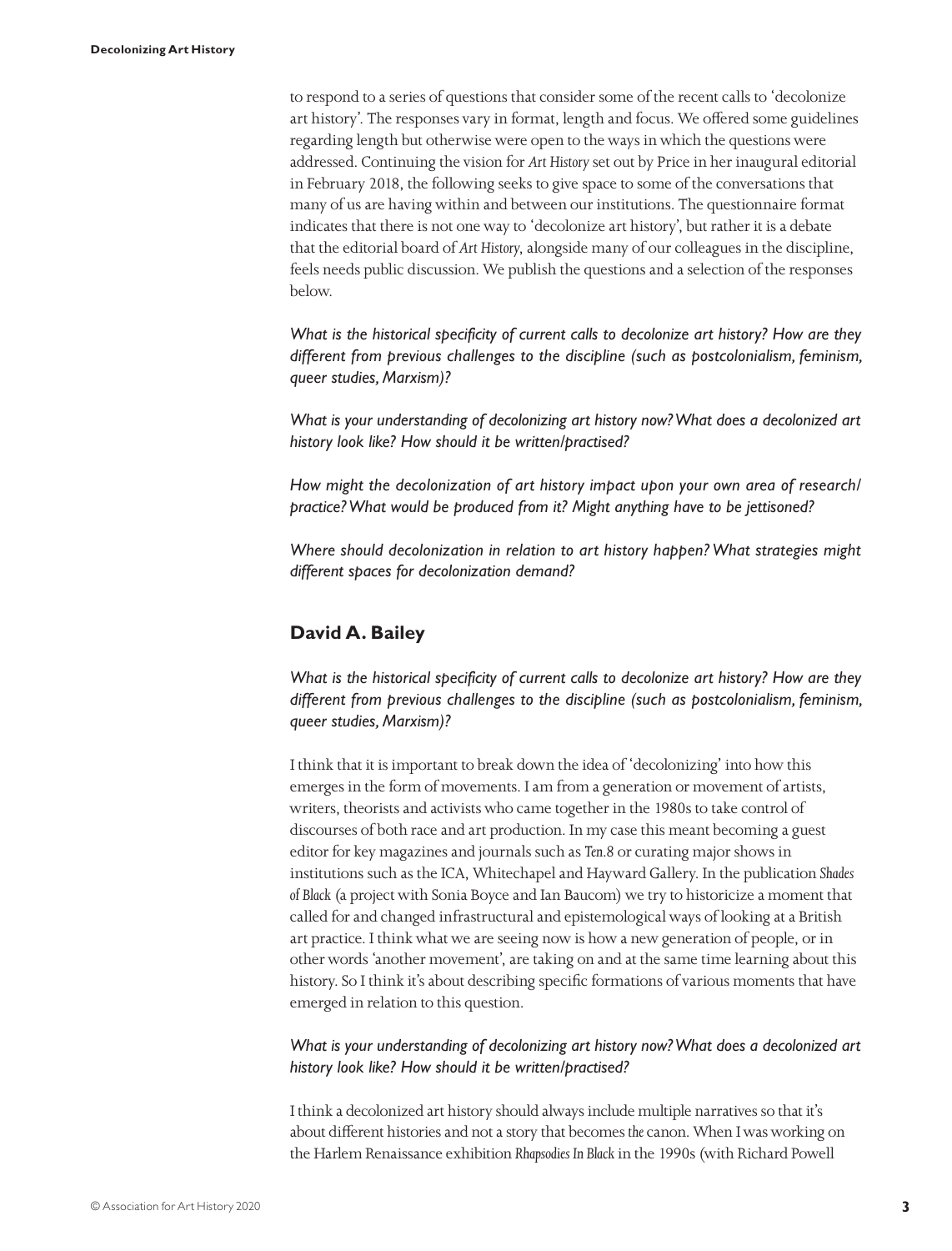to respond to a series of questions that consider some of the recent calls to 'decolonize art history'. The responses vary in format, length and focus. We offered some guidelines regarding length but otherwise were open to the ways in which the questions were addressed. Continuing the vision for *Art History* set out by Price in her inaugural editorial in February 2018, the following seeks to give space to some of the conversations that many of us are having within and between our institutions. The questionnaire format indicates that there is not one way to 'decolonize art history', but rather it is a debate that the editorial board of *Art History*, alongside many of our colleagues in the discipline, feels needs public discussion. We publish the questions and a selection of the responses below.

*What is the historical specificity of current calls to decolonize art history? How are they different from previous challenges to the discipline (such as postcolonialism, feminism, queer studies, Marxism)?*

*What is your understanding of decolonizing art history now? What does a decolonized art history look like? How should it be written/practised?*

*How might the decolonization of art history impact upon your own area of research/ practice? What would be produced from it? Might anything have to be jettisoned?*

*Where should decolonization in relation to art history happen? What strategies might different spaces for decolonization demand?*

## **David A. Bailey**

*What is the historical specificity of current calls to decolonize art history? How are they different from previous challenges to the discipline (such as postcolonialism, feminism, queer studies, Marxism)?*

I think that it is important to break down the idea of 'decolonizing' into how this emerges in the form of movements. I am from a generation or movement of artists, writers, theorists and activists who came together in the 1980s to take control of discourses of both race and art production. In my case this meant becoming a guest editor for key magazines and journals such as *Ten.8* or curating major shows in institutions such as the ICA, Whitechapel and Hayward Gallery. In the publication *Shades of Black* (a project with Sonia Boyce and Ian Baucom) we try to historicize a moment that called for and changed infrastructural and epistemological ways of looking at a British art practice. I think what we are seeing now is how a new generation of people, or in other words 'another movement', are taking on and at the same time learning about this history. So I think it's about describing specific formations of various moments that have emerged in relation to this question.

#### *What is your understanding of decolonizing art history now? What does a decolonized art history look like? How should it be written/practised?*

I think a decolonized art history should always include multiple narratives so that it's about different histories and not a story that becomes *the* canon. When I was working on the Harlem Renaissance exhibition *Rhapsodies In Black* in the 1990s (with Richard Powell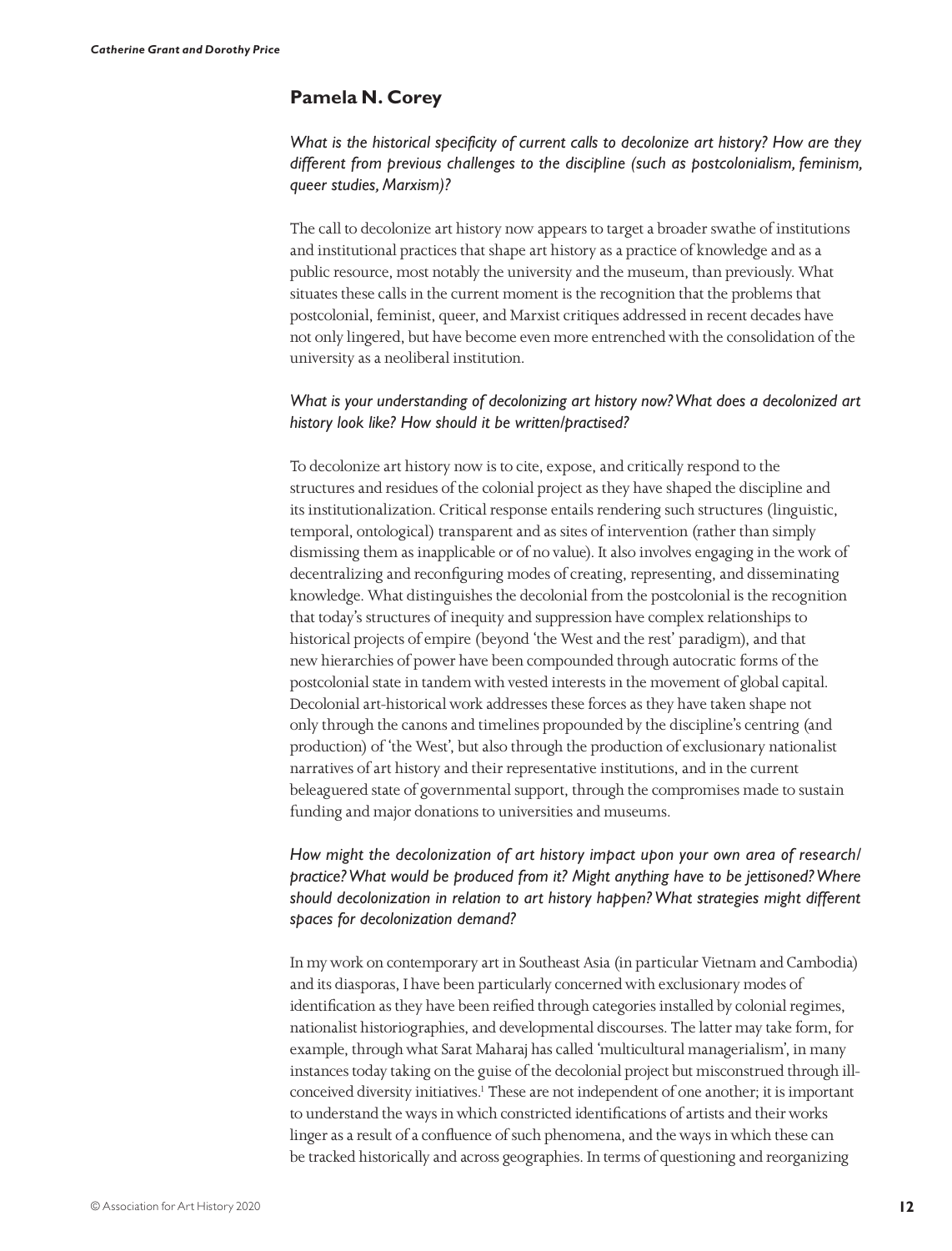# **Pamela N. Corey**

*What is the historical specificity of current calls to decolonize art history? How are they different from previous challenges to the discipline (such as postcolonialism, feminism, queer studies, Marxism)?*

The call to decolonize art history now appears to target a broader swathe of institutions and institutional practices that shape art history as a practice of knowledge and as a public resource, most notably the university and the museum, than previously. What situates these calls in the current moment is the recognition that the problems that postcolonial, feminist, queer, and Marxist critiques addressed in recent decades have not only lingered, but have become even more entrenched with the consolidation of the university as a neoliberal institution.

## *What is your understanding of decolonizing art history now? What does a decolonized art history look like? How should it be written/practised?*

To decolonize art history now is to cite, expose, and critically respond to the structures and residues of the colonial project as they have shaped the discipline and its institutionalization. Critical response entails rendering such structures (linguistic, temporal, ontological) transparent and as sites of intervention (rather than simply dismissing them as inapplicable or of no value). It also involves engaging in the work of decentralizing and reconfiguring modes of creating, representing, and disseminating knowledge. What distinguishes the decolonial from the postcolonial is the recognition that today's structures of inequity and suppression have complex relationships to historical projects of empire (beyond 'the West and the rest' paradigm), and that new hierarchies of power have been compounded through autocratic forms of the postcolonial state in tandem with vested interests in the movement of global capital. Decolonial art-historical work addresses these forces as they have taken shape not only through the canons and timelines propounded by the discipline's centring (and production) of 'the West', but also through the production of exclusionary nationalist narratives of art history and their representative institutions, and in the current beleaguered state of governmental support, through the compromises made to sustain funding and major donations to universities and museums.

# *How might the decolonization of art history impact upon your own area of research/ practice? What would be produced from it? Might anything have to be jettisoned? Where should decolonization in relation to art history happen? What strategies might different spaces for decolonization demand?*

In my work on contemporary art in Southeast Asia (in particular Vietnam and Cambodia) and its diasporas, I have been particularly concerned with exclusionary modes of identification as they have been reified through categories installed by colonial regimes, nationalist historiographies, and developmental discourses. The latter may take form, for example, through what Sarat Maharaj has called 'multicultural managerialism', in many instances today taking on the guise of the decolonial project but misconstrued through illconceived diversity initiatives.<sup>1</sup> These are not independent of one another; it is important to understand the ways in which constricted identifications of artists and their works linger as a result of a confluence of such phenomena, and the ways in which these can be tracked historically and across geographies. In terms of questioning and reorganizing